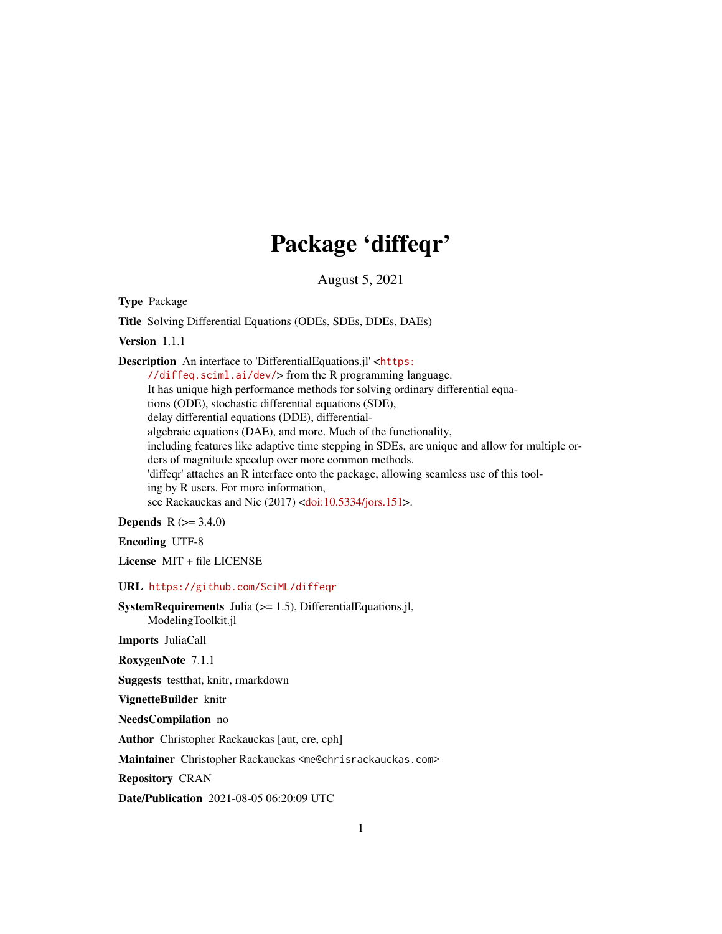## Package 'diffeqr'

August 5, 2021

Type Package

Title Solving Differential Equations (ODEs, SDEs, DDEs, DAEs)

Version 1.1.1

Description An interface to 'DifferentialEquations.jl' <[https:](https://diffeq.sciml.ai/dev/)

[//diffeq.sciml.ai/dev/](https://diffeq.sciml.ai/dev/)> from the R programming language. It has unique high performance methods for solving ordinary differential equations (ODE), stochastic differential equations (SDE), delay differential equations (DDE), differentialalgebraic equations (DAE), and more. Much of the functionality, including features like adaptive time stepping in SDEs, are unique and allow for multiple orders of magnitude speedup over more common methods. 'diffeqr' attaches an R interface onto the package, allowing seamless use of this tooling by R users. For more information, see Rackauckas and Nie (2017) [<doi:10.5334/jors.151>](https://doi.org/10.5334/jors.151).

**Depends**  $R (= 3.4.0)$ 

Encoding UTF-8

License MIT + file LICENSE

URL <https://github.com/SciML/diffeqr>

SystemRequirements Julia (>= 1.5), DifferentialEquations.jl,

ModelingToolkit.jl

Imports JuliaCall

RoxygenNote 7.1.1

Suggests testthat, knitr, rmarkdown

VignetteBuilder knitr

NeedsCompilation no

Author Christopher Rackauckas [aut, cre, cph]

Maintainer Christopher Rackauckas <me@chrisrackauckas.com>

Repository CRAN

Date/Publication 2021-08-05 06:20:09 UTC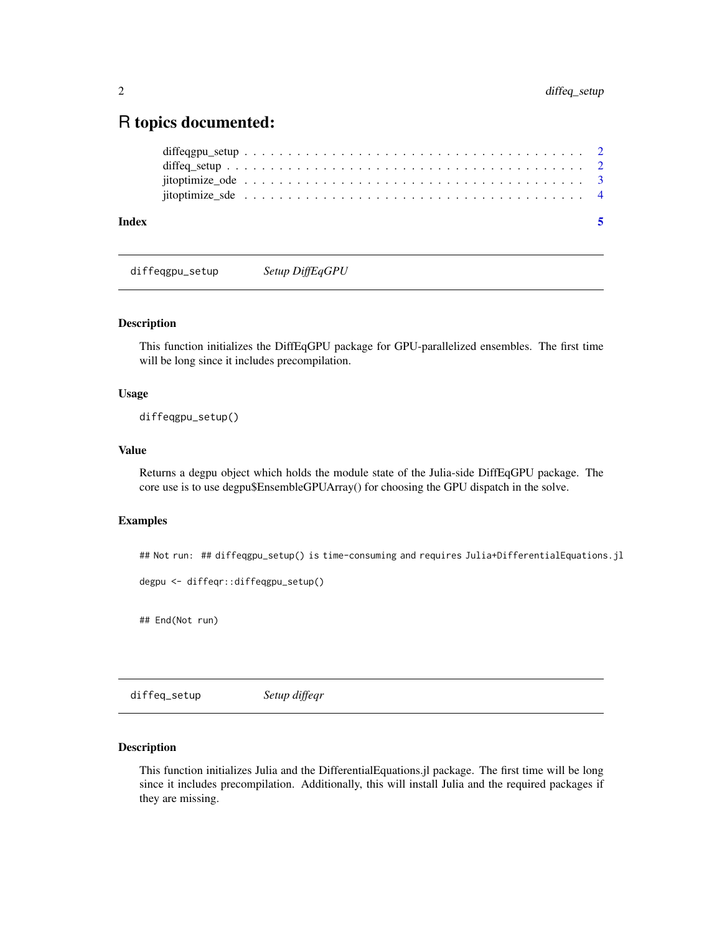### <span id="page-1-0"></span>R topics documented:

| Index |  |  |  |  |  |  |  |  |  |  |  |  |  |  |  |  |  |  |  |  |
|-------|--|--|--|--|--|--|--|--|--|--|--|--|--|--|--|--|--|--|--|--|
|       |  |  |  |  |  |  |  |  |  |  |  |  |  |  |  |  |  |  |  |  |
|       |  |  |  |  |  |  |  |  |  |  |  |  |  |  |  |  |  |  |  |  |
|       |  |  |  |  |  |  |  |  |  |  |  |  |  |  |  |  |  |  |  |  |
|       |  |  |  |  |  |  |  |  |  |  |  |  |  |  |  |  |  |  |  |  |

diffeqgpu\_setup *Setup DiffEqGPU*

#### Description

This function initializes the DiffEqGPU package for GPU-parallelized ensembles. The first time will be long since it includes precompilation.

#### Usage

diffeqgpu\_setup()

#### Value

Returns a degpu object which holds the module state of the Julia-side DiffEqGPU package. The core use is to use degpu\$EnsembleGPUArray() for choosing the GPU dispatch in the solve.

#### Examples

## Not run: ## diffeqgpu\_setup() is time-consuming and requires Julia+DifferentialEquations.jl

```
degpu <- diffeqr::diffeqgpu_setup()
```
## End(Not run)

diffeq\_setup *Setup diffeqr*

#### Description

This function initializes Julia and the DifferentialEquations.jl package. The first time will be long since it includes precompilation. Additionally, this will install Julia and the required packages if they are missing.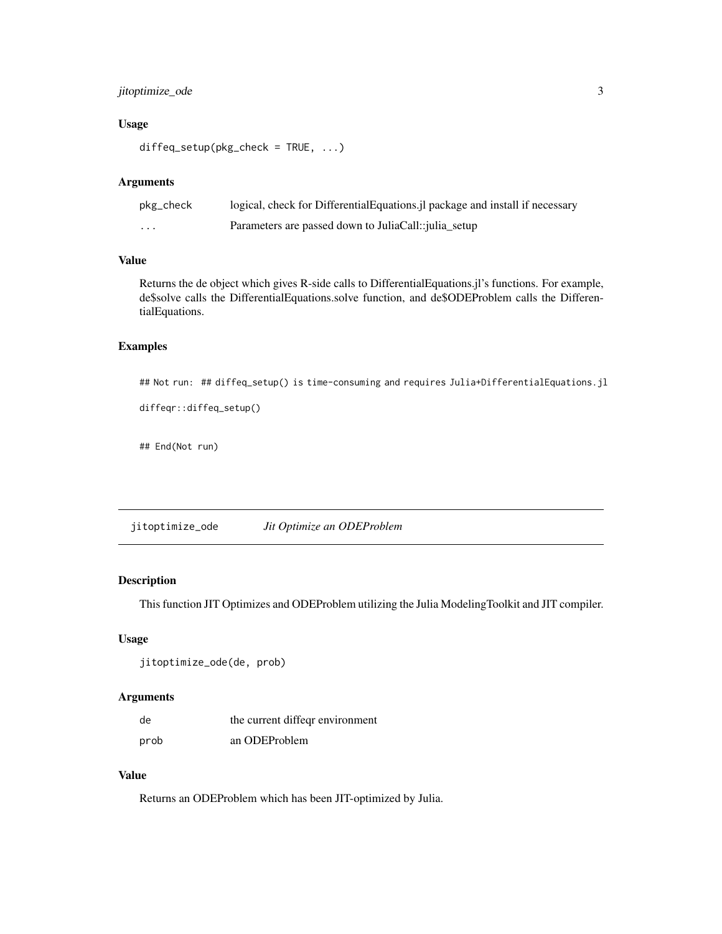#### <span id="page-2-0"></span>jitoptimize\_ode 3

#### Usage

```
diffeq_setup(pkg_check = TRUE, ...)
```
#### Arguments

| pkg_check | logical, check for DifferentialEquations.jl package and install if necessary |
|-----------|------------------------------------------------------------------------------|
| .         | Parameters are passed down to JuliaCall:: <i>julia_setup</i>                 |

#### Value

Returns the de object which gives R-side calls to DifferentialEquations.jl's functions. For example, de\$solve calls the DifferentialEquations.solve function, and de\$ODEProblem calls the DifferentialEquations.

#### Examples

```
## Not run: ## diffeq_setup() is time-consuming and requires Julia+DifferentialEquations.jl
```

```
diffeqr::diffeq_setup()
```
## End(Not run)

jitoptimize\_ode *Jit Optimize an ODEProblem*

#### Description

This function JIT Optimizes and ODEProblem utilizing the Julia ModelingToolkit and JIT compiler.

#### Usage

```
jitoptimize_ode(de, prob)
```
#### Arguments

| de   | the current diffeqr environment |
|------|---------------------------------|
| prob | an ODEProblem                   |

#### Value

Returns an ODEProblem which has been JIT-optimized by Julia.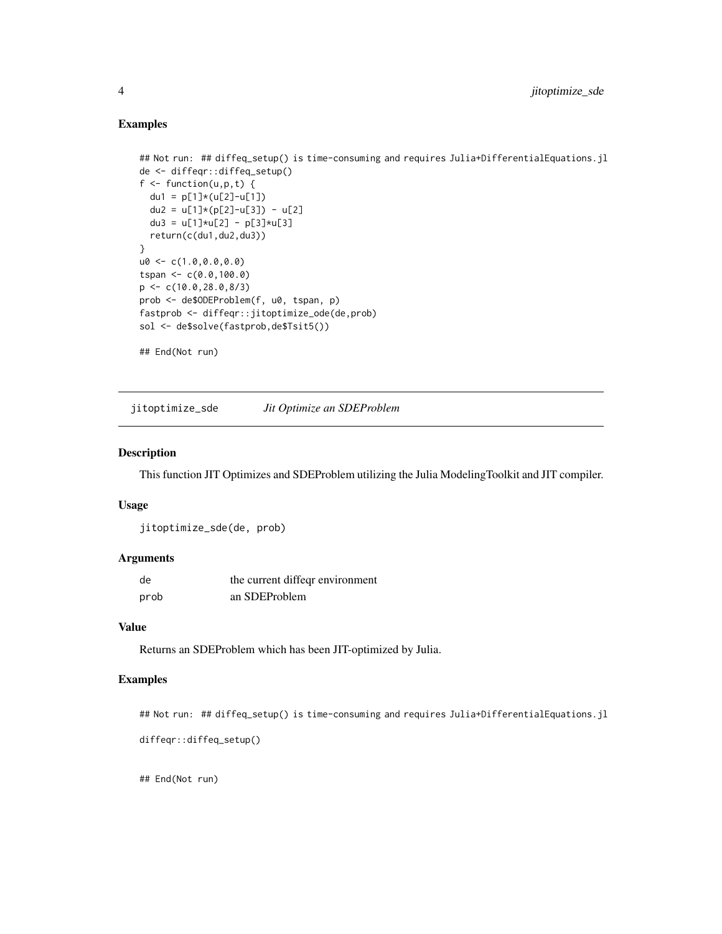#### Examples

```
## Not run: ## diffeq_setup() is time-consuming and requires Julia+DifferentialEquations.jl
de <- diffeqr::diffeq_setup()
f \leftarrow function(u, p, t) {
 du1 = p[1]*(u[2]-u[1])du2 = u[1]*(p[2]-u[3]) - u[2]
  du3 = u[1]*u[2] - p[3]*u[3]
  return(c(du1,du2,du3))
}
u0 < -c(1.0, 0.0, 0.0)tspan <-c(0.0,100.0)p \leq -c(10.0, 28.0, 8/3)prob <- de$ODEProblem(f, u0, tspan, p)
fastprob <- diffeqr::jitoptimize_ode(de,prob)
sol <- de$solve(fastprob,de$Tsit5())
## End(Not run)
```
jitoptimize\_sde *Jit Optimize an SDEProblem*

#### Description

This function JIT Optimizes and SDEProblem utilizing the Julia ModelingToolkit and JIT compiler.

#### Usage

jitoptimize\_sde(de, prob)

#### Arguments

| de   | the current diffeqr environment |
|------|---------------------------------|
| prob | an SDEProblem                   |

#### Value

Returns an SDEProblem which has been JIT-optimized by Julia.

#### Examples

```
## Not run: ## diffeq_setup() is time-consuming and requires Julia+DifferentialEquations.jl
```

```
diffeqr::diffeq_setup()
```
## End(Not run)

<span id="page-3-0"></span>